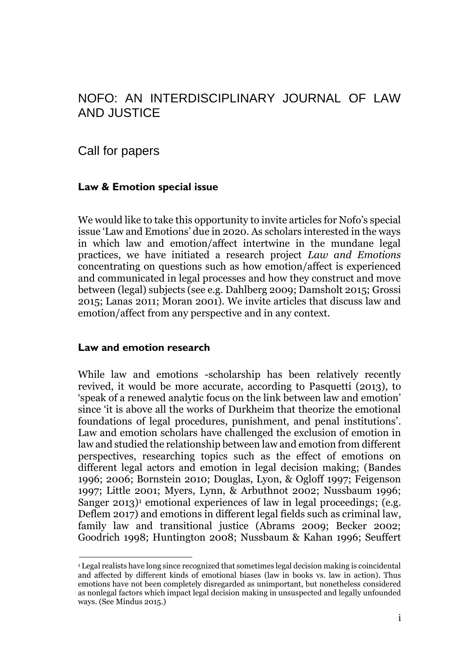# NOFO: AN INTERDISCIPLINARY JOURNAL OF LAW AND JUSTICE

Call for papers

### **Law & Emotion special issue**

We would like to take this opportunity to invite articles for Nofo's special issue 'Law and Emotions' due in 2020. As scholars interested in the ways in which law and emotion/affect intertwine in the mundane legal practices, we have initiated a research project *Law and Emotions* concentrating on questions such as how emotion/affect is experienced and communicated in legal processes and how they construct and move between (legal) subjects (see e.g. Dahlberg 2009; Damsholt 2015; Grossi 2015; Lanas 2011; Moran 2001). We invite articles that discuss law and emotion/affect from any perspective and in any context.

#### **Law and emotion research**

While law and emotions -scholarship has been relatively recently revived, it would be more accurate, according to Pasquetti (2013), to 'speak of a renewed analytic focus on the link between law and emotion' since 'it is above all the works of Durkheim that theorize the emotional foundations of legal procedures, punishment, and penal institutions'. Law and emotion scholars have challenged the exclusion of emotion in law and studied the relationship between law and emotion from different perspectives, researching topics such as the effect of emotions on different legal actors and emotion in legal decision making; (Bandes 1996; 2006; Bornstein 2010; Douglas, Lyon, & Ogloff 1997; Feigenson 1997; Little 2001; Myers, Lynn, & Arbuthnot 2002; Nussbaum 1996; Sanger 2013) <sup>1</sup> emotional experiences of law in legal proceedings; (e.g. Deflem 2017) and emotions in different legal fields such as criminal law, family law and transitional justice (Abrams 2009; Becker 2002; Goodrich 1998; Huntington 2008; Nussbaum & Kahan 1996; Seuffert

<sup>1</sup> Legal realists have long since recognized that sometimes legal decision making is coincidental and affected by different kinds of emotional biases (law in books vs. law in action). Thus emotions have not been completely disregarded as unimportant, but nonetheless considered as nonlegal factors which impact legal decision making in unsuspected and legally unfounded ways. (See Mindus 2015.)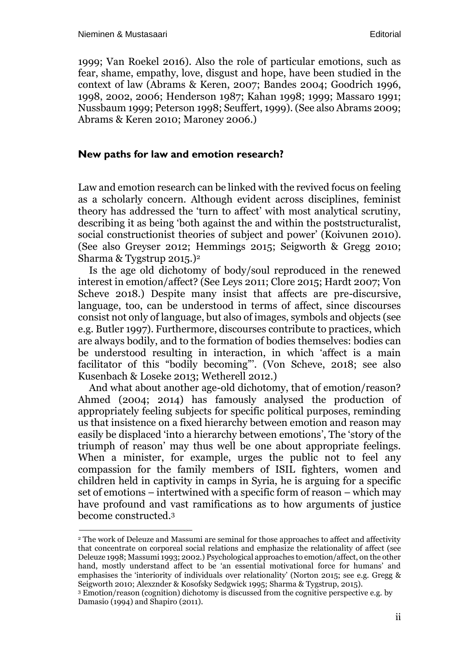1999; Van Roekel 2016). Also the role of particular emotions, such as fear, shame, empathy, love, disgust and hope, have been studied in the context of law (Abrams & Keren, 2007; Bandes 2004; Goodrich 1996, 1998, 2002, 2006; Henderson 1987; Kahan 1998; 1999; Massaro 1991; Nussbaum 1999; Peterson 1998; Seuffert, 1999). (See also Abrams 2009; Abrams & Keren 2010; Maroney 2006.)

#### **New paths for law and emotion research?**

Law and emotion research can be linked with the revived focus on feeling as a scholarly concern. Although evident across disciplines, feminist theory has addressed the 'turn to affect' with most analytical scrutiny, describing it as being 'both against the and within the poststructuralist, social constructionist theories of subject and power' (Koivunen 2010). (See also Greyser 2012; Hemmings 2015; Seigworth & Gregg 2010; Sharma & Tygstrup 2015.)<sup>2</sup>

Is the age old dichotomy of body/soul reproduced in the renewed interest in emotion/affect? (See Leys 2011; Clore 2015; Hardt 2007; Von Scheve 2018.) Despite many insist that affects are pre-discursive, language, too, can be understood in terms of affect, since discourses consist not only of language, but also of images, symbols and objects (see e.g. Butler 1997). Furthermore, discourses contribute to practices, which are always bodily, and to the formation of bodies themselves: bodies can be understood resulting in interaction, in which 'affect is a main facilitator of this "bodily becoming"'. (Von Scheve, 2018; see also Kusenbach & Loseke 2013; Wetherell 2012.)

And what about another age-old dichotomy, that of emotion/reason? Ahmed (2004; 2014) has famously analysed the production of appropriately feeling subjects for specific political purposes, reminding us that insistence on a fixed hierarchy between emotion and reason may easily be displaced 'into a hierarchy between emotions', The 'story of the triumph of reason' may thus well be one about appropriate feelings. When a minister, for example, urges the public not to feel any compassion for the family members of ISIL fighters, women and children held in captivity in camps in Syria, he is arguing for a specific set of emotions – intertwined with a specific form of reason – which may have profound and vast ramifications as to how arguments of justice become constructed. 3

<sup>2</sup> The work of Deleuze and Massumi are seminal for those approaches to affect and affectivity that concentrate on corporeal social relations and emphasize the relationality of affect (see Deleuze 1998; Massumi 1993; 2002.) Psychological approaches to emotion/affect, on the other hand, mostly understand affect to be 'an essential motivational force for humans' and emphasises the 'interiority of individuals over relationality' (Norton 2015; see e.g. Gregg & Seigworth 2010; Alexznder & Kosofsky Sedgwick 1995; Sharma & Tygstrup, 2015).

<sup>3</sup> Emotion/reason (cognition) dichotomy is discussed from the cognitive perspective e.g. by Damasio (1994) and Shapiro (2011).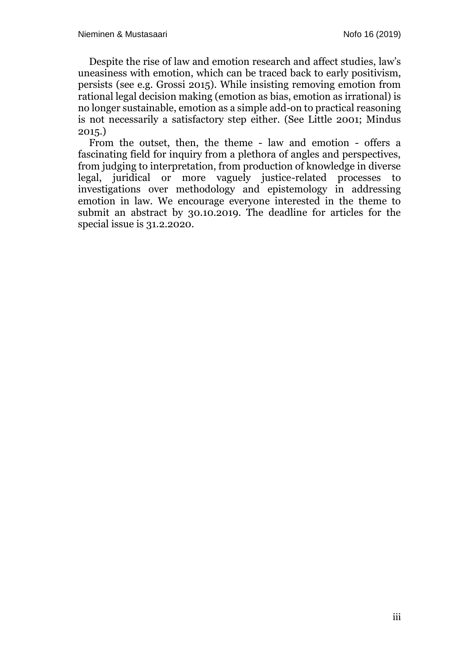Despite the rise of law and emotion research and affect studies, law's uneasiness with emotion, which can be traced back to early positivism, persists (see e.g. Grossi 2015). While insisting removing emotion from rational legal decision making (emotion as bias, emotion as irrational) is no longer sustainable, emotion as a simple add-on to practical reasoning is not necessarily a satisfactory step either. (See Little 2001; Mindus 2015.)

From the outset, then, the theme - law and emotion - offers a fascinating field for inquiry from a plethora of angles and perspectives, from judging to interpretation, from production of knowledge in diverse legal, juridical or more vaguely justice-related processes to investigations over methodology and epistemology in addressing emotion in law. We encourage everyone interested in the theme to submit an abstract by 30.10.2019. The deadline for articles for the special issue is 31.2.2020.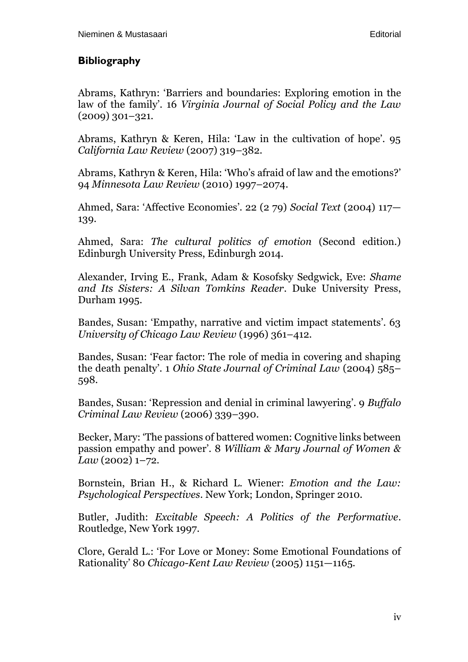## **Bibliography**

Abrams, Kathryn: 'Barriers and boundaries: Exploring emotion in the law of the family'. 16 *Virginia Journal of Social Policy and the Law*  (2009) 301–321.

Abrams, Kathryn & Keren, Hila: 'Law in the cultivation of hope'. 95 *California Law Review* (2007) 319–382.

Abrams, Kathryn & Keren, Hila: 'Who's afraid of law and the emotions?' 94 *Minnesota Law Review* (2010) 1997–2074.

Ahmed, Sara: 'Affective Economies'. 22 (2 79) *Social Text* (2004) 117— 139.

Ahmed, Sara: *The cultural politics of emotion* (Second edition.) Edinburgh University Press, Edinburgh 2014.

Alexander, Irving E., Frank, Adam & Kosofsky Sedgwick, Eve: *Shame and Its Sisters: A Silvan Tomkins Reader*. Duke University Press, Durham 1995.

Bandes, Susan: 'Empathy, narrative and victim impact statements'. 63 *University of Chicago Law Review* (1996) 361–412.

Bandes, Susan: 'Fear factor: The role of media in covering and shaping the death penalty'. 1 *Ohio State Journal of Criminal Law* (2004) 585– 598.

Bandes, Susan: 'Repression and denial in criminal lawyering'. 9 *Buffalo Criminal Law Review* (2006) 339–390.

Becker, Mary: 'The passions of battered women: Cognitive links between passion empathy and power'. 8 *William & Mary Journal of Women & Law* (2002) 1–72.

Bornstein, Brian H., & Richard L. Wiener: *Emotion and the Law: Psychological Perspectives*. New York; London, Springer 2010.

Butler, Judith: *Excitable Speech: A Politics of the Performative*. Routledge, New York 1997.

Clore, Gerald L.: 'For Love or Money: Some Emotional Foundations of Rationality' 80 *Chicago-Kent Law Review* (2005) 1151—1165.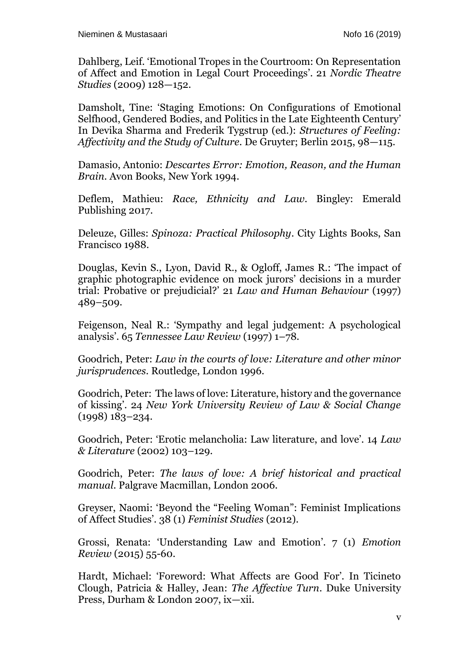Dahlberg, Leif. 'Emotional Tropes in the Courtroom: On Representation of Affect and Emotion in Legal Court Proceedings'. 21 *Nordic Theatre Studies* (2009) 128—152.

Damsholt, Tine: 'Staging Emotions: On Configurations of Emotional Selfhood, Gendered Bodies, and Politics in the Late Eighteenth Century' In Devika Sharma and Frederik Tygstrup (ed.): *Structures of Feeling: Affectivity and the Study of Culture*. De Gruyter; Berlin 2015, 98—115.

Damasio, Antonio: *Descartes Error: Emotion, Reason, and the Human Brain*. Avon Books, New York 1994.

Deflem, Mathieu: *Race, Ethnicity and Law*. Bingley: Emerald Publishing 2017.

Deleuze, Gilles: *Spinoza: Practical Philosophy*. City Lights Books, San Francisco 1988.

Douglas, Kevin S., Lyon, David R., & Ogloff, James R.: 'The impact of graphic photographic evidence on mock jurors' decisions in a murder trial: Probative or prejudicial?' 21 *Law and Human Behaviour* (1997) 489–509.

Feigenson, Neal R.: 'Sympathy and legal judgement: A psychological analysis'. 65 *Tennessee Law Review* (1997) 1–78.

Goodrich, Peter: *Law in the courts of love: Literature and other minor jurisprudences*. Routledge, London 1996.

Goodrich, Peter: The laws of love: Literature, history and the governance of kissing'. 24 *New York University Review of Law & Social Change*  (1998) 183–234.

Goodrich, Peter: 'Erotic melancholia: Law literature, and love'. 14 *Law & Literature* (2002) 103–129.

Goodrich, Peter: *The laws of love: A brief historical and practical manual*. Palgrave Macmillan, London 2006.

Greyser, Naomi: 'Beyond the "Feeling Woman": Feminist Implications of Affect Studies'. 38 (1) *Feminist Studies* (2012).

Grossi, Renata: 'Understanding Law and Emotion'. 7 (1) *Emotion Review* (2015) 55-60.

Hardt, Michael: 'Foreword: What Affects are Good For'. In Ticineto Clough, Patricia & Halley, Jean: *The Affective Turn*. Duke University Press, Durham & London 2007, ix—xii.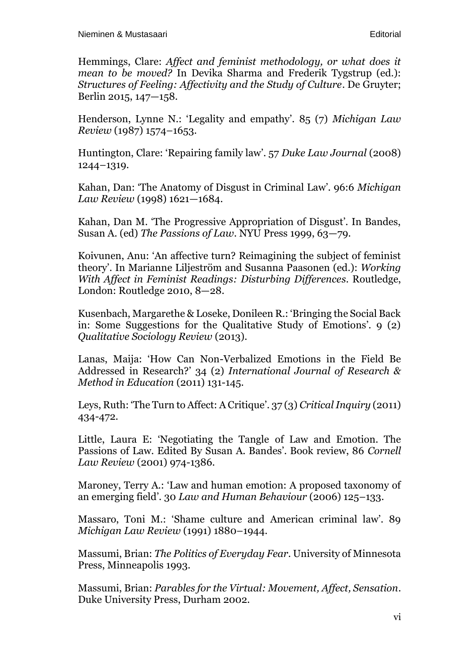Hemmings, Clare: *Affect and feminist methodology, or what does it mean to be moved?* In Devika Sharma and Frederik Tygstrup (ed.): *Structures of Feeling: Affectivity and the Study of Culture*. De Gruyter; Berlin 2015, 147—158.

Henderson, Lynne N.: 'Legality and empathy'. 85 (7) *Michigan Law Review* (1987) 1574–1653.

Huntington, Clare: 'Repairing family law'. 57 *Duke Law Journal* (2008) 1244–1319.

Kahan, Dan: 'The Anatomy of Disgust in Criminal Law'. 96:6 *Michigan Law Review* (1998) 1621—1684.

Kahan, Dan M. 'The Progressive Appropriation of Disgust'. In Bandes, Susan A. (ed) *The Passions of Law*. NYU Press 1999, 63—79.

Koivunen, Anu: 'An affective turn? Reimagining the subject of feminist theory'. In Marianne Liljeström and Susanna Paasonen (ed.): *Working With Affect in Feminist Readings: Disturbing Differences*. Routledge, London: Routledge 2010, 8—28.

Kusenbach, Margarethe & Loseke, Donileen R.: 'Bringing the Social Back in: Some Suggestions for the Qualitative Study of Emotions'. 9 (2) *Qualitative Sociology Review* (2013).

Lanas, Maija: 'How Can Non-Verbalized Emotions in the Field Be Addressed in Research?' 34 (2) *International Journal of Research & Method in Education* (2011) 131-145.

Leys, Ruth: 'The Turn to Affect: A Critique'. 37 (3) *Critical Inquiry* (2011) 434-472.

Little, Laura E: 'Negotiating the Tangle of Law and Emotion. The Passions of Law. Edited By Susan A. Bandes'. Book review, 86 *Cornell Law Review* (2001) 974-1386.

Maroney, Terry A.: 'Law and human emotion: A proposed taxonomy of an emerging field'. 30 *Law and Human Behaviour* (2006) 125–133.

Massaro, Toni M.: 'Shame culture and American criminal law'. 89 *Michigan Law Review* (1991) 1880–1944.

Massumi, Brian: *The Politics of Everyday Fear*. University of Minnesota Press, Minneapolis 1993.

Massumi, Brian: *Parables for the Virtual: Movement, Affect, Sensation*. Duke University Press, Durham 2002.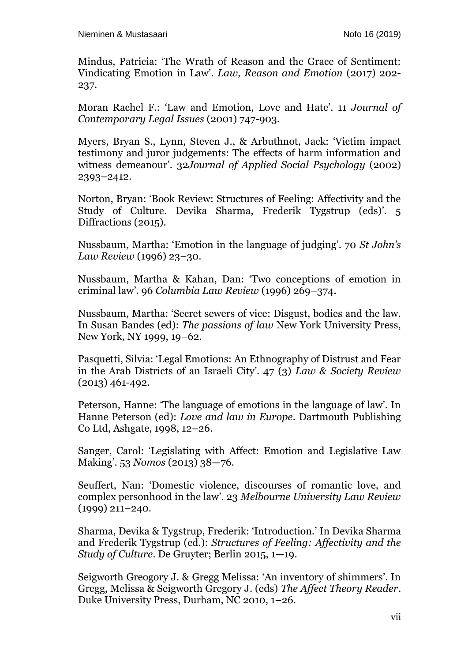Mindus, Patricia: 'The Wrath of Reason and the Grace of Sentiment: Vindicating Emotion in Law'. *Law, Reason and Emotion* (2017) 202- 237.

Moran Rachel F.: 'Law and Emotion, Love and Hate'. 11 *Journal of Contemporary Legal Issues* (2001) 747-903.

Myers, Bryan S., Lynn, Steven J., & Arbuthnot, Jack: 'Victim impact testimony and juror judgements: The effects of harm information and witness demeanour'. 32*Journal of Applied Social Psychology* (2002) 2393–2412.

Norton, Bryan: 'Book Review: Structures of Feeling: Affectivity and the Study of Culture. Devika Sharma, Frederik Tygstrup (eds)'. 5 Diffractions (2015).

Nussbaum, Martha: 'Emotion in the language of judging'. 70 *St John's Law Review* (1996) 23–30.

Nussbaum, Martha & Kahan, Dan: 'Two conceptions of emotion in criminal law'. 96 *Columbia Law Review* (1996) 269–374.

Nussbaum, Martha: 'Secret sewers of vice: Disgust, bodies and the law. In Susan Bandes (ed): *The passions of law* New York University Press, New York, NY 1999, 19–62.

Pasquetti, Silvia: 'Legal Emotions: An Ethnography of Distrust and Fear in the Arab Districts of an Israeli City'. 47 (3) *Law & Society Review* (2013) 461-492.

Peterson, Hanne: 'The language of emotions in the language of law'. In Hanne Peterson (ed): *Love and law in Europe*. Dartmouth Publishing Co Ltd, Ashgate, 1998, 12–26.

Sanger, Carol: 'Legislating with Affect: Emotion and Legislative Law Making'. 53 *Nomos* (2013) 38—76.

Seuffert, Nan: 'Domestic violence, discourses of romantic love, and complex personhood in the law'. 23 *Melbourne University Law Review* (1999) 211–240.

Sharma, Devika & Tygstrup, Frederik: 'Introduction.' In Devika Sharma and Frederik Tygstrup (ed.): *Structures of Feeling: Affectivity and the Study of Culture*. De Gruyter; Berlin 2015, 1—19.

Seigworth Greogory J. & Gregg Melissa: 'An inventory of shimmers'. In Gregg, Melissa & Seigworth Gregory J. (eds) *The Affect Theory Reader*. Duke University Press, Durham, NC 2010, 1–26.